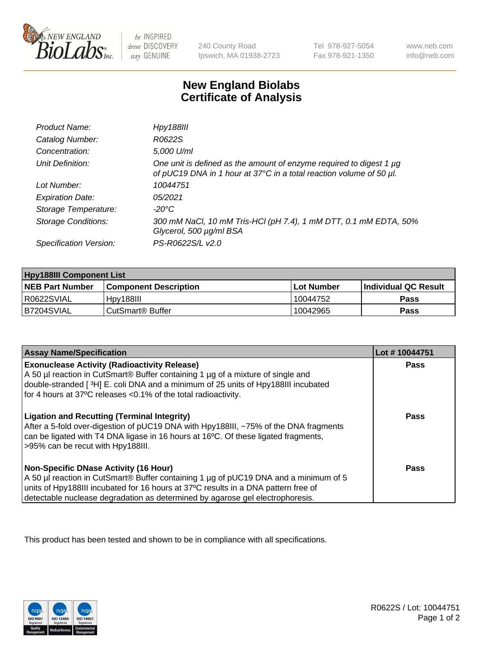

 $be$  INSPIRED drive DISCOVERY stay GENUINE

240 County Road Ipswich, MA 01938-2723 Tel 978-927-5054 Fax 978-921-1350 www.neb.com info@neb.com

## **New England Biolabs Certificate of Analysis**

| Product Name:              | Hpy188III                                                                                                                                  |
|----------------------------|--------------------------------------------------------------------------------------------------------------------------------------------|
| Catalog Number:            | R0622S                                                                                                                                     |
| Concentration:             | 5,000 U/ml                                                                                                                                 |
| Unit Definition:           | One unit is defined as the amount of enzyme required to digest 1 µg<br>of pUC19 DNA in 1 hour at 37°C in a total reaction volume of 50 µl. |
| Lot Number:                | 10044751                                                                                                                                   |
| <b>Expiration Date:</b>    | 05/2021                                                                                                                                    |
| Storage Temperature:       | -20°C                                                                                                                                      |
| <b>Storage Conditions:</b> | 300 mM NaCl, 10 mM Tris-HCl (pH 7.4), 1 mM DTT, 0.1 mM EDTA, 50%<br>Glycerol, 500 µg/ml BSA                                                |
| Specification Version:     | PS-R0622S/L v2.0                                                                                                                           |

| <b>Hpy188III Component List</b> |                              |            |                             |  |
|---------------------------------|------------------------------|------------|-----------------------------|--|
| <b>NEB Part Number</b>          | <b>Component Description</b> | Lot Number | <b>Individual QC Result</b> |  |
| I R0622SVIAL                    | Hpv188III                    | 10044752   | Pass                        |  |
| B7204SVIAL                      | CutSmart <sup>®</sup> Buffer | 10042965   | Pass                        |  |

| <b>Assay Name/Specification</b>                                                                                                                                                                                                                                                                                                         | Lot #10044751 |
|-----------------------------------------------------------------------------------------------------------------------------------------------------------------------------------------------------------------------------------------------------------------------------------------------------------------------------------------|---------------|
| <b>Exonuclease Activity (Radioactivity Release)</b><br>A 50 µl reaction in CutSmart® Buffer containing 1 µg of a mixture of single and<br>double-stranded [3H] E. coli DNA and a minimum of 25 units of Hpy188III incubated                                                                                                             | Pass          |
| for 4 hours at 37°C releases <0.1% of the total radioactivity.<br><b>Ligation and Recutting (Terminal Integrity)</b><br>After a 5-fold over-digestion of pUC19 DNA with Hpy188III, ~75% of the DNA fragments<br>can be ligated with T4 DNA ligase in 16 hours at 16°C. Of these ligated fragments,<br>>95% can be recut with Hpy188III. | Pass          |
| <b>Non-Specific DNase Activity (16 Hour)</b><br>A 50 µl reaction in CutSmart® Buffer containing 1 µg of pUC19 DNA and a minimum of 5<br>units of Hpy188III incubated for 16 hours at 37°C results in a DNA pattern free of<br>detectable nuclease degradation as determined by agarose gel electrophoresis.                             | <b>Pass</b>   |

This product has been tested and shown to be in compliance with all specifications.